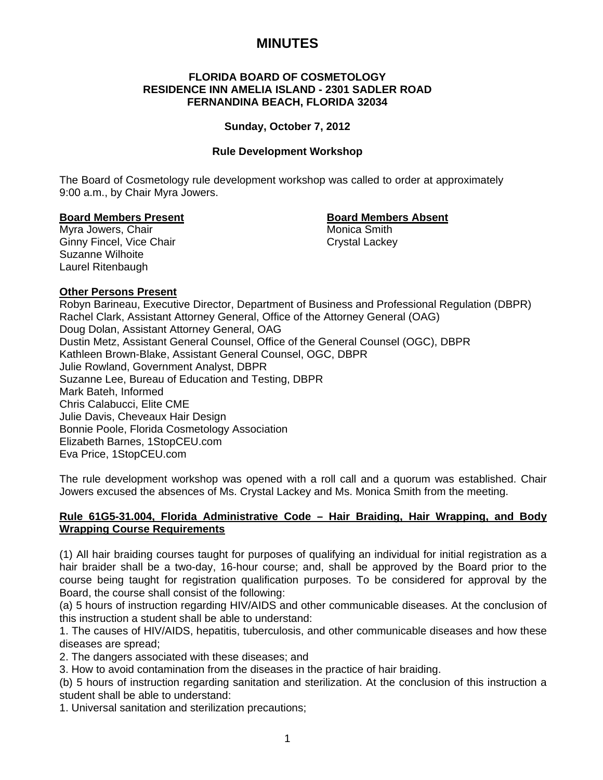# **MINUTES**

#### **FLORIDA BOARD OF COSMETOLOGY RESIDENCE INN AMELIA ISLAND - 2301 SADLER ROAD FERNANDINA BEACH, FLORIDA 32034**

#### **Sunday, October 7, 2012**

#### **Rule Development Workshop**

The Board of Cosmetology rule development workshop was called to order at approximately 9:00 a.m., by Chair Myra Jowers.

#### **Board Members Present Communist Communist Board Members Absent**

Myra Jowers, Chair **Music America** Smith Ginny Fincel, Vice Chair Chair Crystal Lackey Suzanne Wilhoite Laurel Ritenbaugh

#### **Other Persons Present**

Robyn Barineau, Executive Director, Department of Business and Professional Regulation (DBPR) Rachel Clark, Assistant Attorney General, Office of the Attorney General (OAG) Doug Dolan, Assistant Attorney General, OAG Dustin Metz, Assistant General Counsel, Office of the General Counsel (OGC), DBPR Kathleen Brown-Blake, Assistant General Counsel, OGC, DBPR Julie Rowland, Government Analyst, DBPR Suzanne Lee, Bureau of Education and Testing, DBPR Mark Bateh, Informed Chris Calabucci, Elite CME Julie Davis, Cheveaux Hair Design Bonnie Poole, Florida Cosmetology Association Elizabeth Barnes, 1StopCEU.com Eva Price, 1StopCEU.com

The rule development workshop was opened with a roll call and a quorum was established. Chair Jowers excused the absences of Ms. Crystal Lackey and Ms. Monica Smith from the meeting.

### **Rule 61G5-31.004, Florida Administrative Code – Hair Braiding, Hair Wrapping, and Body Wrapping Course Requirements**

(1) All hair braiding courses taught for purposes of qualifying an individual for initial registration as a hair braider shall be a two-day, 16-hour course; and, shall be approved by the Board prior to the course being taught for registration qualification purposes. To be considered for approval by the Board, the course shall consist of the following:

(a) 5 hours of instruction regarding HIV/AIDS and other communicable diseases. At the conclusion of this instruction a student shall be able to understand:

1. The causes of HIV/AIDS, hepatitis, tuberculosis, and other communicable diseases and how these diseases are spread;

2. The dangers associated with these diseases; and

3. How to avoid contamination from the diseases in the practice of hair braiding.

(b) 5 hours of instruction regarding sanitation and sterilization. At the conclusion of this instruction a student shall be able to understand:

1. Universal sanitation and sterilization precautions;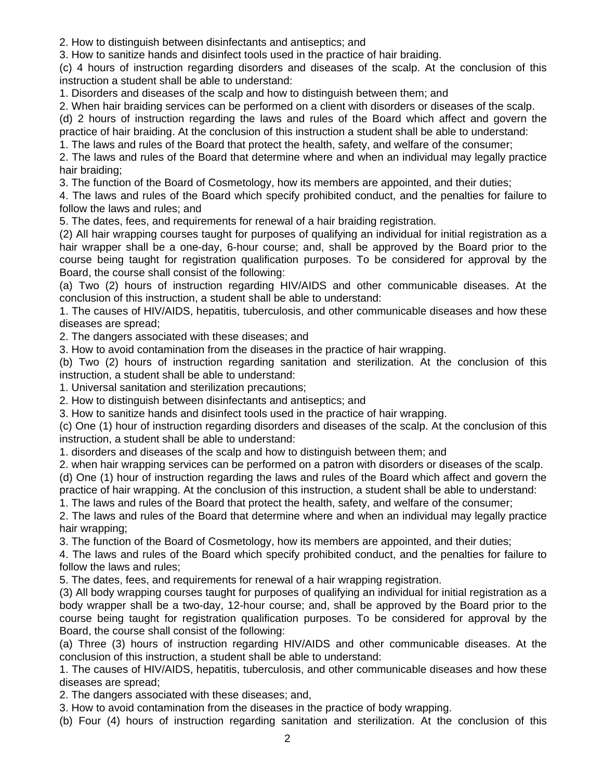2. How to distinguish between disinfectants and antiseptics; and

3. How to sanitize hands and disinfect tools used in the practice of hair braiding.

(c) 4 hours of instruction regarding disorders and diseases of the scalp. At the conclusion of this instruction a student shall be able to understand:

1. Disorders and diseases of the scalp and how to distinguish between them; and

2. When hair braiding services can be performed on a client with disorders or diseases of the scalp.

(d) 2 hours of instruction regarding the laws and rules of the Board which affect and govern the practice of hair braiding. At the conclusion of this instruction a student shall be able to understand:

1. The laws and rules of the Board that protect the health, safety, and welfare of the consumer;

2. The laws and rules of the Board that determine where and when an individual may legally practice hair braiding;

3. The function of the Board of Cosmetology, how its members are appointed, and their duties;

4. The laws and rules of the Board which specify prohibited conduct, and the penalties for failure to follow the laws and rules; and

5. The dates, fees, and requirements for renewal of a hair braiding registration.

(2) All hair wrapping courses taught for purposes of qualifying an individual for initial registration as a hair wrapper shall be a one-day, 6-hour course; and, shall be approved by the Board prior to the course being taught for registration qualification purposes. To be considered for approval by the Board, the course shall consist of the following:

(a) Two (2) hours of instruction regarding HIV/AIDS and other communicable diseases. At the conclusion of this instruction, a student shall be able to understand:

1. The causes of HIV/AIDS, hepatitis, tuberculosis, and other communicable diseases and how these diseases are spread;

2. The dangers associated with these diseases; and

3. How to avoid contamination from the diseases in the practice of hair wrapping.

(b) Two (2) hours of instruction regarding sanitation and sterilization. At the conclusion of this instruction, a student shall be able to understand:

1. Universal sanitation and sterilization precautions;

2. How to distinguish between disinfectants and antiseptics; and

3. How to sanitize hands and disinfect tools used in the practice of hair wrapping.

(c) One (1) hour of instruction regarding disorders and diseases of the scalp. At the conclusion of this instruction, a student shall be able to understand:

1. disorders and diseases of the scalp and how to distinguish between them; and

2. when hair wrapping services can be performed on a patron with disorders or diseases of the scalp.

(d) One (1) hour of instruction regarding the laws and rules of the Board which affect and govern the practice of hair wrapping. At the conclusion of this instruction, a student shall be able to understand:

1. The laws and rules of the Board that protect the health, safety, and welfare of the consumer;

2. The laws and rules of the Board that determine where and when an individual may legally practice hair wrapping;

3. The function of the Board of Cosmetology, how its members are appointed, and their duties;

4. The laws and rules of the Board which specify prohibited conduct, and the penalties for failure to follow the laws and rules;

5. The dates, fees, and requirements for renewal of a hair wrapping registration.

(3) All body wrapping courses taught for purposes of qualifying an individual for initial registration as a body wrapper shall be a two-day, 12-hour course; and, shall be approved by the Board prior to the course being taught for registration qualification purposes. To be considered for approval by the Board, the course shall consist of the following:

(a) Three (3) hours of instruction regarding HIV/AIDS and other communicable diseases. At the conclusion of this instruction, a student shall be able to understand:

1. The causes of HIV/AIDS, hepatitis, tuberculosis, and other communicable diseases and how these diseases are spread;

2. The dangers associated with these diseases; and,

3. How to avoid contamination from the diseases in the practice of body wrapping.

(b) Four (4) hours of instruction regarding sanitation and sterilization. At the conclusion of this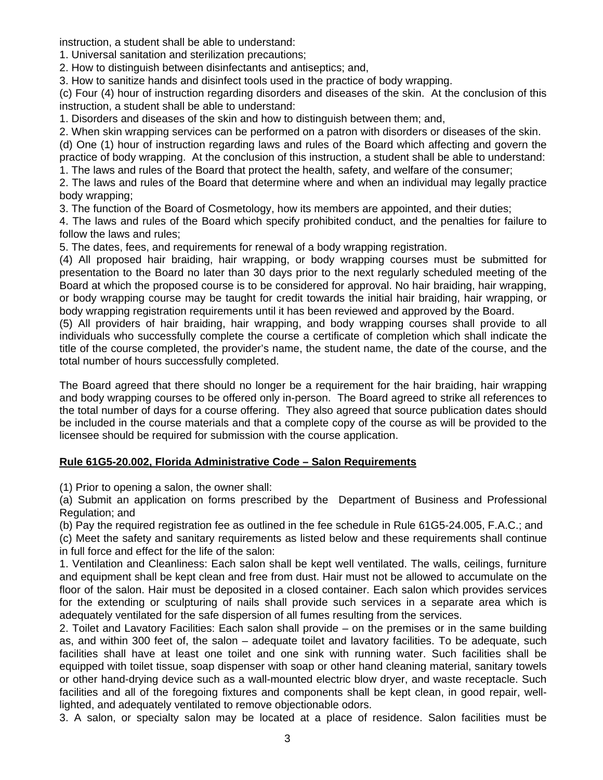instruction, a student shall be able to understand:

1. Universal sanitation and sterilization precautions;

2. How to distinguish between disinfectants and antiseptics; and,

3. How to sanitize hands and disinfect tools used in the practice of body wrapping.

(c) Four (4) hour of instruction regarding disorders and diseases of the skin. At the conclusion of this instruction, a student shall be able to understand:

1. Disorders and diseases of the skin and how to distinguish between them; and,

2. When skin wrapping services can be performed on a patron with disorders or diseases of the skin. (d) One (1) hour of instruction regarding laws and rules of the Board which affecting and govern the practice of body wrapping. At the conclusion of this instruction, a student shall be able to understand:

1. The laws and rules of the Board that protect the health, safety, and welfare of the consumer;

2. The laws and rules of the Board that determine where and when an individual may legally practice body wrapping;

3. The function of the Board of Cosmetology, how its members are appointed, and their duties;

4. The laws and rules of the Board which specify prohibited conduct, and the penalties for failure to follow the laws and rules;

5. The dates, fees, and requirements for renewal of a body wrapping registration.

(4) All proposed hair braiding, hair wrapping, or body wrapping courses must be submitted for presentation to the Board no later than 30 days prior to the next regularly scheduled meeting of the Board at which the proposed course is to be considered for approval. No hair braiding, hair wrapping, or body wrapping course may be taught for credit towards the initial hair braiding, hair wrapping, or body wrapping registration requirements until it has been reviewed and approved by the Board.

(5) All providers of hair braiding, hair wrapping, and body wrapping courses shall provide to all individuals who successfully complete the course a certificate of completion which shall indicate the title of the course completed, the provider's name, the student name, the date of the course, and the total number of hours successfully completed.

The Board agreed that there should no longer be a requirement for the hair braiding, hair wrapping and body wrapping courses to be offered only in-person. The Board agreed to strike all references to the total number of days for a course offering. They also agreed that source publication dates should be included in the course materials and that a complete copy of the course as will be provided to the licensee should be required for submission with the course application.

# **Rule 61G5-20.002, Florida Administrative Code – Salon Requirements**

(1) Prior to opening a salon, the owner shall:

(a) Submit an application on forms prescribed by the Department of Business and Professional Regulation; and

(b) Pay the required registration fee as outlined in the fee schedule in Rule 61G5-24.005, F.A.C.; and (c) Meet the safety and sanitary requirements as listed below and these requirements shall continue in full force and effect for the life of the salon:

1. Ventilation and Cleanliness: Each salon shall be kept well ventilated. The walls, ceilings, furniture and equipment shall be kept clean and free from dust. Hair must not be allowed to accumulate on the floor of the salon. Hair must be deposited in a closed container. Each salon which provides services for the extending or sculpturing of nails shall provide such services in a separate area which is adequately ventilated for the safe dispersion of all fumes resulting from the services.

2. Toilet and Lavatory Facilities: Each salon shall provide – on the premises or in the same building as, and within 300 feet of, the salon – adequate toilet and lavatory facilities. To be adequate, such facilities shall have at least one toilet and one sink with running water. Such facilities shall be equipped with toilet tissue, soap dispenser with soap or other hand cleaning material, sanitary towels or other hand-drying device such as a wall-mounted electric blow dryer, and waste receptacle. Such facilities and all of the foregoing fixtures and components shall be kept clean, in good repair, welllighted, and adequately ventilated to remove objectionable odors.

3. A salon, or specialty salon may be located at a place of residence. Salon facilities must be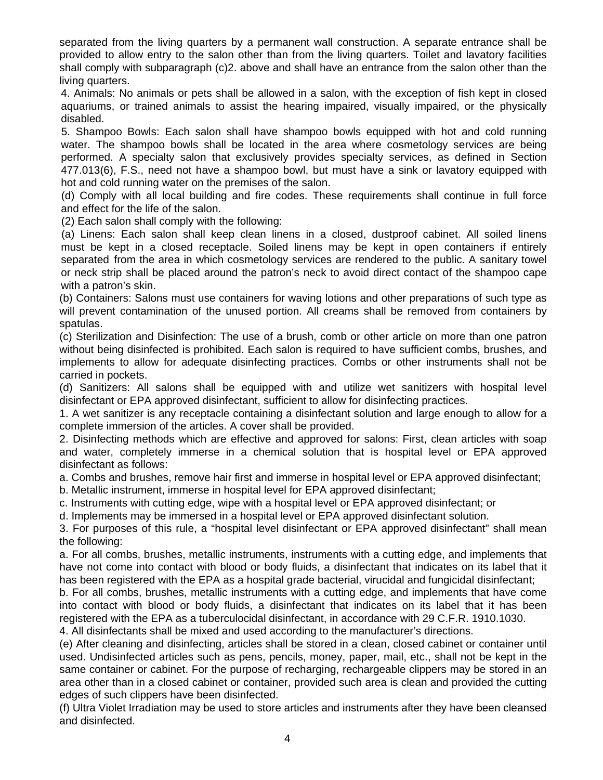separated from the living quarters by a permanent wall construction. A separate entrance shall be provided to allow entry to the salon other than from the living quarters. Toilet and lavatory facilities shall comply with subparagraph (c)2. above and shall have an entrance from the salon other than the living quarters.

 4. Animals: No animals or pets shall be allowed in a salon, with the exception of fish kept in closed aquariums, or trained animals to assist the hearing impaired, visually impaired, or the physically disabled.

 5. Shampoo Bowls: Each salon shall have shampoo bowls equipped with hot and cold running water. The shampoo bowls shall be located in the area where cosmetology services are being performed. A specialty salon that exclusively provides specialty services, as defined in Section 477.013(6), F.S., need not have a shampoo bowl, but must have a sink or lavatory equipped with hot and cold running water on the premises of the salon.

 (d) Comply with all local building and fire codes. These requirements shall continue in full force and effect for the life of the salon.

(2) Each salon shall comply with the following:

 (a) Linens: Each salon shall keep clean linens in a closed, dustproof cabinet. All soiled linens must be kept in a closed receptacle. Soiled linens may be kept in open containers if entirely separated from the area in which cosmetology services are rendered to the public. A sanitary towel or neck strip shall be placed around the patron's neck to avoid direct contact of the shampoo cape with a patron's skin.

(b) Containers: Salons must use containers for waving lotions and other preparations of such type as will prevent contamination of the unused portion. All creams shall be removed from containers by spatulas.

(c) Sterilization and Disinfection: The use of a brush, comb or other article on more than one patron without being disinfected is prohibited. Each salon is required to have sufficient combs, brushes, and implements to allow for adequate disinfecting practices. Combs or other instruments shall not be carried in pockets.

(d) Sanitizers: All salons shall be equipped with and utilize wet sanitizers with hospital level disinfectant or EPA approved disinfectant, sufficient to allow for disinfecting practices.

1. A wet sanitizer is any receptacle containing a disinfectant solution and large enough to allow for a complete immersion of the articles. A cover shall be provided.

2. Disinfecting methods which are effective and approved for salons: First, clean articles with soap and water, completely immerse in a chemical solution that is hospital level or EPA approved disinfectant as follows:

a. Combs and brushes, remove hair first and immerse in hospital level or EPA approved disinfectant;

b. Metallic instrument, immerse in hospital level for EPA approved disinfectant;

c. Instruments with cutting edge, wipe with a hospital level or EPA approved disinfectant; or

d. Implements may be immersed in a hospital level or EPA approved disinfectant solution.

3. For purposes of this rule, a "hospital level disinfectant or EPA approved disinfectant" shall mean the following:

a. For all combs, brushes, metallic instruments, instruments with a cutting edge, and implements that have not come into contact with blood or body fluids, a disinfectant that indicates on its label that it has been registered with the EPA as a hospital grade bacterial, virucidal and fungicidal disinfectant;

b. For all combs, brushes, metallic instruments with a cutting edge, and implements that have come into contact with blood or body fluids, a disinfectant that indicates on its label that it has been registered with the EPA as a tuberculocidal disinfectant, in accordance with 29 C.F.R. 1910.1030.

4. All disinfectants shall be mixed and used according to the manufacturer's directions.

(e) After cleaning and disinfecting, articles shall be stored in a clean, closed cabinet or container until used. Undisinfected articles such as pens, pencils, money, paper, mail, etc., shall not be kept in the same container or cabinet. For the purpose of recharging, rechargeable clippers may be stored in an area other than in a closed cabinet or container, provided such area is clean and provided the cutting edges of such clippers have been disinfected.

(f) Ultra Violet Irradiation may be used to store articles and instruments after they have been cleansed and disinfected.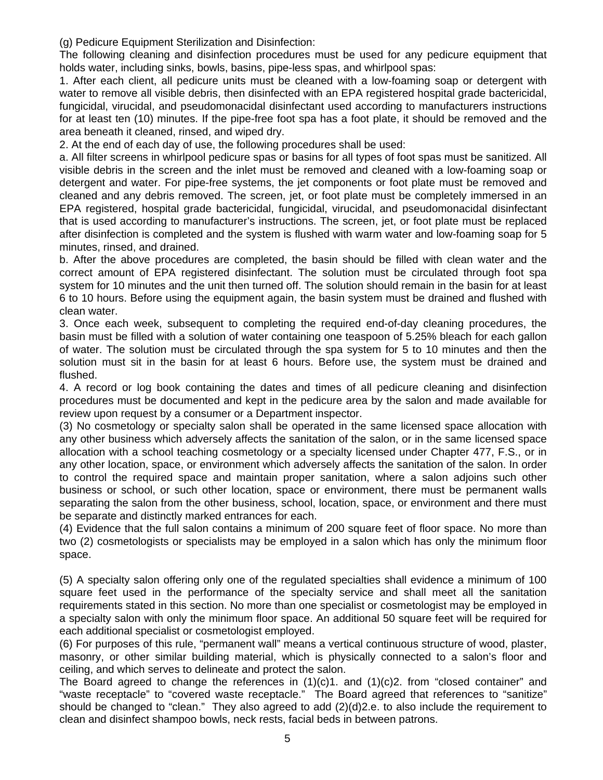(g) Pedicure Equipment Sterilization and Disinfection:

The following cleaning and disinfection procedures must be used for any pedicure equipment that holds water, including sinks, bowls, basins, pipe-less spas, and whirlpool spas:

1. After each client, all pedicure units must be cleaned with a low-foaming soap or detergent with water to remove all visible debris, then disinfected with an EPA registered hospital grade bactericidal, fungicidal, virucidal, and pseudomonacidal disinfectant used according to manufacturers instructions for at least ten (10) minutes. If the pipe-free foot spa has a foot plate, it should be removed and the area beneath it cleaned, rinsed, and wiped dry.

2. At the end of each day of use, the following procedures shall be used:

a. All filter screens in whirlpool pedicure spas or basins for all types of foot spas must be sanitized. All visible debris in the screen and the inlet must be removed and cleaned with a low-foaming soap or detergent and water. For pipe-free systems, the jet components or foot plate must be removed and cleaned and any debris removed. The screen, jet, or foot plate must be completely immersed in an EPA registered, hospital grade bactericidal, fungicidal, virucidal, and pseudomonacidal disinfectant that is used according to manufacturer's instructions. The screen, jet, or foot plate must be replaced after disinfection is completed and the system is flushed with warm water and low-foaming soap for 5 minutes, rinsed, and drained.

b. After the above procedures are completed, the basin should be filled with clean water and the correct amount of EPA registered disinfectant. The solution must be circulated through foot spa system for 10 minutes and the unit then turned off. The solution should remain in the basin for at least 6 to 10 hours. Before using the equipment again, the basin system must be drained and flushed with clean water.

3. Once each week, subsequent to completing the required end-of-day cleaning procedures, the basin must be filled with a solution of water containing one teaspoon of 5.25% bleach for each gallon of water. The solution must be circulated through the spa system for 5 to 10 minutes and then the solution must sit in the basin for at least 6 hours. Before use, the system must be drained and flushed.

4. A record or log book containing the dates and times of all pedicure cleaning and disinfection procedures must be documented and kept in the pedicure area by the salon and made available for review upon request by a consumer or a Department inspector.

(3) No cosmetology or specialty salon shall be operated in the same licensed space allocation with any other business which adversely affects the sanitation of the salon, or in the same licensed space allocation with a school teaching cosmetology or a specialty licensed under Chapter 477, F.S., or in any other location, space, or environment which adversely affects the sanitation of the salon. In order to control the required space and maintain proper sanitation, where a salon adjoins such other business or school, or such other location, space or environment, there must be permanent walls separating the salon from the other business, school, location, space, or environment and there must be separate and distinctly marked entrances for each.

(4) Evidence that the full salon contains a minimum of 200 square feet of floor space. No more than two (2) cosmetologists or specialists may be employed in a salon which has only the minimum floor space.

(5) A specialty salon offering only one of the regulated specialties shall evidence a minimum of 100 square feet used in the performance of the specialty service and shall meet all the sanitation requirements stated in this section. No more than one specialist or cosmetologist may be employed in a specialty salon with only the minimum floor space. An additional 50 square feet will be required for each additional specialist or cosmetologist employed.

(6) For purposes of this rule, "permanent wall" means a vertical continuous structure of wood, plaster, masonry, or other similar building material, which is physically connected to a salon's floor and ceiling, and which serves to delineate and protect the salon.

The Board agreed to change the references in  $(1)(c)$ 1. and  $(1)(c)$ 2. from "closed container" and "waste receptacle" to "covered waste receptacle." The Board agreed that references to "sanitize" should be changed to "clean." They also agreed to add (2)(d)2.e. to also include the requirement to clean and disinfect shampoo bowls, neck rests, facial beds in between patrons.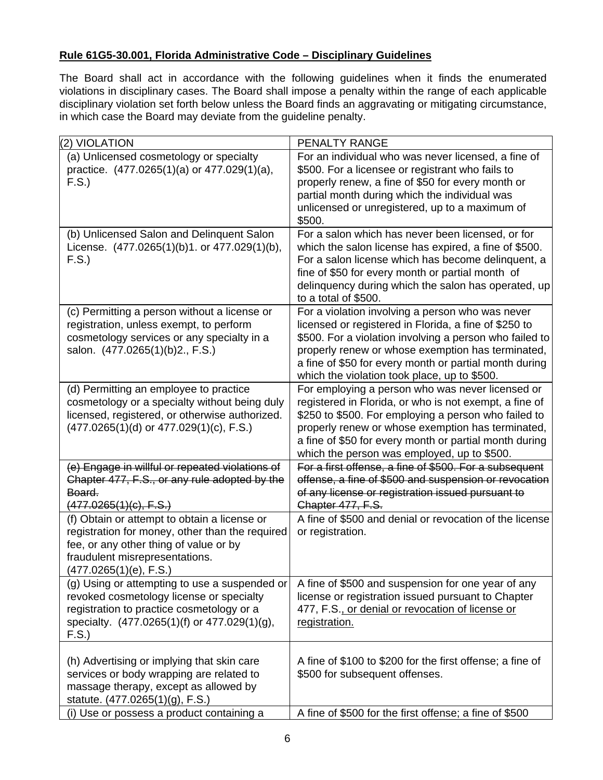# **Rule 61G5-30.001, Florida Administrative Code – Disciplinary Guidelines**

The Board shall act in accordance with the following guidelines when it finds the enumerated violations in disciplinary cases. The Board shall impose a penalty within the range of each applicable disciplinary violation set forth below unless the Board finds an aggravating or mitigating circumstance, in which case the Board may deviate from the guideline penalty.

| (2) VIOLATION                                                                                                                                                                                         | PENALTY RANGE                                                                                                                                                                                                                                                                                                                       |
|-------------------------------------------------------------------------------------------------------------------------------------------------------------------------------------------------------|-------------------------------------------------------------------------------------------------------------------------------------------------------------------------------------------------------------------------------------------------------------------------------------------------------------------------------------|
| (a) Unlicensed cosmetology or specialty<br>practice. (477.0265(1)(a) or 477.029(1)(a),<br>F.S.                                                                                                        | For an individual who was never licensed, a fine of<br>\$500. For a licensee or registrant who fails to<br>properly renew, a fine of \$50 for every month or<br>partial month during which the individual was<br>unlicensed or unregistered, up to a maximum of<br>\$500.                                                           |
| (b) Unlicensed Salon and Delinquent Salon<br>License. (477.0265(1)(b)1. or 477.029(1)(b),<br>F.S.                                                                                                     | For a salon which has never been licensed, or for<br>which the salon license has expired, a fine of \$500.<br>For a salon license which has become delinquent, a<br>fine of \$50 for every month or partial month of<br>delinquency during which the salon has operated, up<br>to a total of \$500.                                 |
| (c) Permitting a person without a license or<br>registration, unless exempt, to perform<br>cosmetology services or any specialty in a<br>salon. (477.0265(1)(b)2., F.S.)                              | For a violation involving a person who was never<br>licensed or registered in Florida, a fine of \$250 to<br>\$500. For a violation involving a person who failed to<br>properly renew or whose exemption has terminated,<br>a fine of \$50 for every month or partial month during<br>which the violation took place, up to \$500. |
| (d) Permitting an employee to practice<br>cosmetology or a specialty without being duly<br>licensed, registered, or otherwise authorized.<br>$(477.0265(1)(d)$ or $477.029(1)(c)$ , F.S.)             | For employing a person who was never licensed or<br>registered in Florida, or who is not exempt, a fine of<br>\$250 to \$500. For employing a person who failed to<br>properly renew or whose exemption has terminated,<br>a fine of \$50 for every month or partial month during<br>which the person was employed, up to \$500.    |
| (e) Engage in willful or repeated violations of<br>Chapter 477, F.S., or any rule adopted by the<br>Board.<br>(477.0265(1)(c), F.S.)                                                                  | For a first offense, a fine of \$500. For a subsequent<br>offense, a fine of \$500 and suspension or revocation<br>of any license or registration issued pursuant to<br>Chapter 477, F.S.                                                                                                                                           |
| (f) Obtain or attempt to obtain a license or<br>registration for money, other than the required<br>fee, or any other thing of value or by<br>fraudulent misrepresentations.<br>(477.0265(1)(e), F.S.) | A fine of \$500 and denial or revocation of the license<br>or registration.                                                                                                                                                                                                                                                         |
| (g) Using or attempting to use a suspended or<br>revoked cosmetology license or specialty<br>registration to practice cosmetology or a<br>specialty. (477.0265(1)(f) or 477.029(1)(g),<br>F.S.        | A fine of \$500 and suspension for one year of any<br>license or registration issued pursuant to Chapter<br>477, F.S., or denial or revocation of license or<br>registration.                                                                                                                                                       |
| (h) Advertising or implying that skin care<br>services or body wrapping are related to<br>massage therapy, except as allowed by<br>statute. (477.0265(1)(g), F.S.)                                    | A fine of \$100 to \$200 for the first offense; a fine of<br>\$500 for subsequent offenses.                                                                                                                                                                                                                                         |
| (i) Use or possess a product containing a                                                                                                                                                             | A fine of \$500 for the first offense; a fine of \$500                                                                                                                                                                                                                                                                              |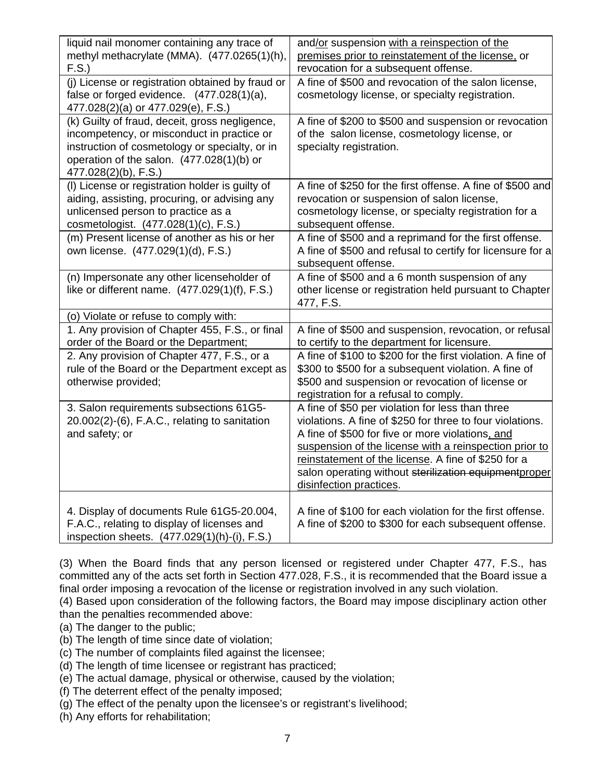| liquid nail monomer containing any trace of<br>methyl methacrylate (MMA). (477.0265(1)(h),<br>F.S.                                                                                                                  | and/or suspension with a reinspection of the<br>premises prior to reinstatement of the license, or<br>revocation for a subsequent offense.                                                                                                                                                                                                                             |
|---------------------------------------------------------------------------------------------------------------------------------------------------------------------------------------------------------------------|------------------------------------------------------------------------------------------------------------------------------------------------------------------------------------------------------------------------------------------------------------------------------------------------------------------------------------------------------------------------|
| (j) License or registration obtained by fraud or<br>false or forged evidence. (477.028(1)(a),<br>477.028(2)(a) or 477.029(e), F.S.)                                                                                 | A fine of \$500 and revocation of the salon license,<br>cosmetology license, or specialty registration.                                                                                                                                                                                                                                                                |
| (k) Guilty of fraud, deceit, gross negligence,<br>incompetency, or misconduct in practice or<br>instruction of cosmetology or specialty, or in<br>operation of the salon. (477.028(1)(b) or<br>477.028(2)(b), F.S.) | A fine of \$200 to \$500 and suspension or revocation<br>of the salon license, cosmetology license, or<br>specialty registration.                                                                                                                                                                                                                                      |
| (I) License or registration holder is guilty of<br>aiding, assisting, procuring, or advising any<br>unlicensed person to practice as a<br>cosmetologist. (477.028(1)(c), F.S.)                                      | A fine of \$250 for the first offense. A fine of \$500 and<br>revocation or suspension of salon license,<br>cosmetology license, or specialty registration for a<br>subsequent offense.                                                                                                                                                                                |
| (m) Present license of another as his or her<br>own license. (477.029(1)(d), F.S.)                                                                                                                                  | A fine of \$500 and a reprimand for the first offense.<br>A fine of \$500 and refusal to certify for licensure for a<br>subsequent offense.                                                                                                                                                                                                                            |
| (n) Impersonate any other licenseholder of<br>like or different name. (477.029(1)(f), F.S.)                                                                                                                         | A fine of \$500 and a 6 month suspension of any<br>other license or registration held pursuant to Chapter<br>477, F.S.                                                                                                                                                                                                                                                 |
| (o) Violate or refuse to comply with:                                                                                                                                                                               |                                                                                                                                                                                                                                                                                                                                                                        |
| 1. Any provision of Chapter 455, F.S., or final<br>order of the Board or the Department;                                                                                                                            | A fine of \$500 and suspension, revocation, or refusal<br>to certify to the department for licensure.                                                                                                                                                                                                                                                                  |
| 2. Any provision of Chapter 477, F.S., or a<br>rule of the Board or the Department except as<br>otherwise provided;                                                                                                 | A fine of \$100 to \$200 for the first violation. A fine of<br>\$300 to \$500 for a subsequent violation. A fine of<br>\$500 and suspension or revocation of license or<br>registration for a refusal to comply.                                                                                                                                                       |
| 3. Salon requirements subsections 61G5-<br>20.002(2)-(6), F.A.C., relating to sanitation<br>and safety; or                                                                                                          | A fine of \$50 per violation for less than three<br>violations. A fine of \$250 for three to four violations.<br>A fine of \$500 for five or more violations, and<br>suspension of the license with a reinspection prior to<br>reinstatement of the license. A fine of \$250 for a<br>salon operating without sterilization equipmentproper<br>disinfection practices. |
| 4. Display of documents Rule 61G5-20.004,<br>F.A.C., relating to display of licenses and<br>inspection sheets. (477.029(1)(h)-(i), F.S.)                                                                            | A fine of \$100 for each violation for the first offense.<br>A fine of \$200 to \$300 for each subsequent offense.                                                                                                                                                                                                                                                     |

(3) When the Board finds that any person licensed or registered under Chapter 477, F.S., has committed any of the acts set forth in Section 477.028, F.S., it is recommended that the Board issue a final order imposing a revocation of the license or registration involved in any such violation.

(4) Based upon consideration of the following factors, the Board may impose disciplinary action other than the penalties recommended above:

(a) The danger to the public;

(b) The length of time since date of violation;

(c) The number of complaints filed against the licensee;

- (d) The length of time licensee or registrant has practiced;
- (e) The actual damage, physical or otherwise, caused by the violation;
- (f) The deterrent effect of the penalty imposed;
- (g) The effect of the penalty upon the licensee's or registrant's livelihood;
- (h) Any efforts for rehabilitation;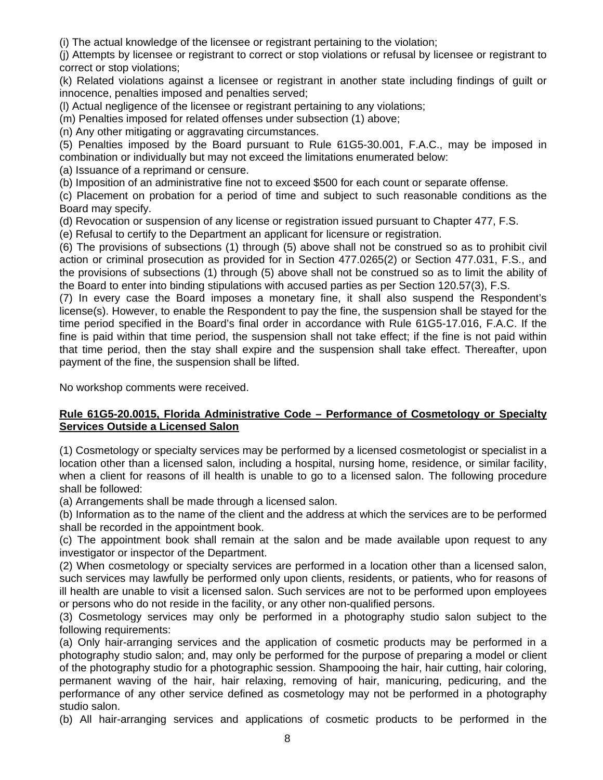(i) The actual knowledge of the licensee or registrant pertaining to the violation;

(j) Attempts by licensee or registrant to correct or stop violations or refusal by licensee or registrant to correct or stop violations;

(k) Related violations against a licensee or registrant in another state including findings of guilt or innocence, penalties imposed and penalties served;

(l) Actual negligence of the licensee or registrant pertaining to any violations;

(m) Penalties imposed for related offenses under subsection (1) above;

(n) Any other mitigating or aggravating circumstances.

(5) Penalties imposed by the Board pursuant to Rule 61G5-30.001, F.A.C., may be imposed in combination or individually but may not exceed the limitations enumerated below:

(a) Issuance of a reprimand or censure.

(b) Imposition of an administrative fine not to exceed \$500 for each count or separate offense.

(c) Placement on probation for a period of time and subject to such reasonable conditions as the Board may specify.

(d) Revocation or suspension of any license or registration issued pursuant to Chapter 477, F.S.

(e) Refusal to certify to the Department an applicant for licensure or registration.

(6) The provisions of subsections (1) through (5) above shall not be construed so as to prohibit civil action or criminal prosecution as provided for in Section 477.0265(2) or Section 477.031, F.S., and the provisions of subsections (1) through (5) above shall not be construed so as to limit the ability of the Board to enter into binding stipulations with accused parties as per Section 120.57(3), F.S.

(7) In every case the Board imposes a monetary fine, it shall also suspend the Respondent's license(s). However, to enable the Respondent to pay the fine, the suspension shall be stayed for the time period specified in the Board's final order in accordance with Rule 61G5-17.016, F.A.C. If the fine is paid within that time period, the suspension shall not take effect; if the fine is not paid within that time period, then the stay shall expire and the suspension shall take effect. Thereafter, upon payment of the fine, the suspension shall be lifted.

No workshop comments were received.

# **Rule 61G5-20.0015, Florida Administrative Code – Performance of Cosmetology or Specialty Services Outside a Licensed Salon**

(1) Cosmetology or specialty services may be performed by a licensed cosmetologist or specialist in a location other than a licensed salon, including a hospital, nursing home, residence, or similar facility, when a client for reasons of ill health is unable to go to a licensed salon. The following procedure shall be followed:

(a) Arrangements shall be made through a licensed salon.

(b) Information as to the name of the client and the address at which the services are to be performed shall be recorded in the appointment book.

(c) The appointment book shall remain at the salon and be made available upon request to any investigator or inspector of the Department.

(2) When cosmetology or specialty services are performed in a location other than a licensed salon, such services may lawfully be performed only upon clients, residents, or patients, who for reasons of ill health are unable to visit a licensed salon. Such services are not to be performed upon employees or persons who do not reside in the facility, or any other non-qualified persons.

(3) Cosmetology services may only be performed in a photography studio salon subject to the following requirements:

(a) Only hair-arranging services and the application of cosmetic products may be performed in a photography studio salon; and, may only be performed for the purpose of preparing a model or client of the photography studio for a photographic session. Shampooing the hair, hair cutting, hair coloring, permanent waving of the hair, hair relaxing, removing of hair, manicuring, pedicuring, and the performance of any other service defined as cosmetology may not be performed in a photography studio salon.

(b) All hair-arranging services and applications of cosmetic products to be performed in the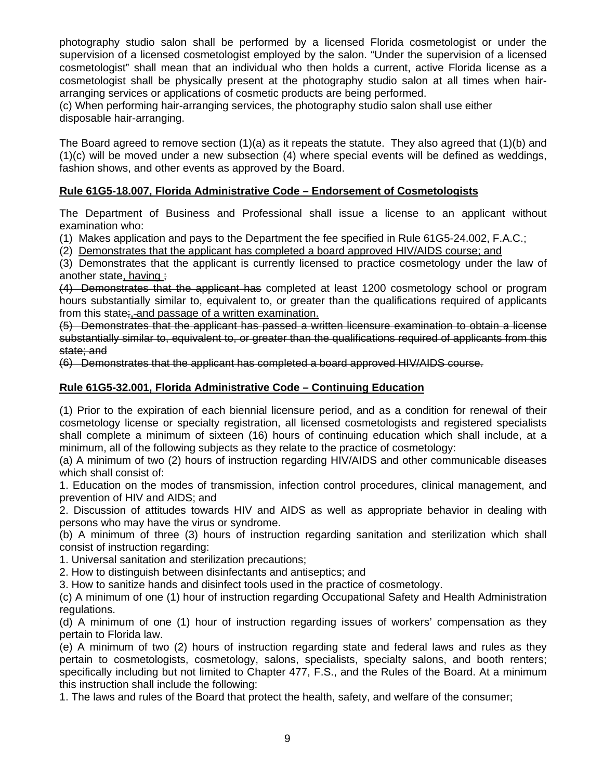photography studio salon shall be performed by a licensed Florida cosmetologist or under the supervision of a licensed cosmetologist employed by the salon. "Under the supervision of a licensed cosmetologist" shall mean that an individual who then holds a current, active Florida license as a cosmetologist shall be physically present at the photography studio salon at all times when hairarranging services or applications of cosmetic products are being performed.

(c) When performing hair-arranging services, the photography studio salon shall use either disposable hair-arranging.

The Board agreed to remove section  $(1)(a)$  as it repeats the statute. They also agreed that  $(1)(b)$  and (1)(c) will be moved under a new subsection (4) where special events will be defined as weddings, fashion shows, and other events as approved by the Board.

# **Rule 61G5-18.007, Florida Administrative Code – Endorsement of Cosmetologists**

The Department of Business and Professional shall issue a license to an applicant without examination who:

(1) Makes application and pays to the Department the fee specified in Rule 61G5-24.002, F.A.C.;

(2) Demonstrates that the applicant has completed a board approved HIV/AIDS course; and

(3) Demonstrates that the applicant is currently licensed to practice cosmetology under the law of another state, having ;

(4) Demonstrates that the applicant has completed at least 1200 cosmetology school or program hours substantially similar to, equivalent to, or greater than the qualifications required of applicants from this state;, and passage of a written examination.

(5) Demonstrates that the applicant has passed a written licensure examination to obtain a license substantially similar to, equivalent to, or greater than the qualifications required of applicants from this state: and

(6) Demonstrates that the applicant has completed a board approved HIV/AIDS course.

# **Rule 61G5-32.001, Florida Administrative Code – Continuing Education**

(1) Prior to the expiration of each biennial licensure period, and as a condition for renewal of their cosmetology license or specialty registration, all licensed cosmetologists and registered specialists shall complete a minimum of sixteen (16) hours of continuing education which shall include, at a minimum, all of the following subjects as they relate to the practice of cosmetology:

(a) A minimum of two (2) hours of instruction regarding HIV/AIDS and other communicable diseases which shall consist of:

1. Education on the modes of transmission, infection control procedures, clinical management, and prevention of HIV and AIDS; and

2. Discussion of attitudes towards HIV and AIDS as well as appropriate behavior in dealing with persons who may have the virus or syndrome.

(b) A minimum of three (3) hours of instruction regarding sanitation and sterilization which shall consist of instruction regarding:

1. Universal sanitation and sterilization precautions;

2. How to distinguish between disinfectants and antiseptics; and

3. How to sanitize hands and disinfect tools used in the practice of cosmetology.

(c) A minimum of one (1) hour of instruction regarding Occupational Safety and Health Administration regulations.

(d) A minimum of one (1) hour of instruction regarding issues of workers' compensation as they pertain to Florida law.

(e) A minimum of two (2) hours of instruction regarding state and federal laws and rules as they pertain to cosmetologists, cosmetology, salons, specialists, specialty salons, and booth renters; specifically including but not limited to Chapter 477, F.S., and the Rules of the Board. At a minimum this instruction shall include the following:

1. The laws and rules of the Board that protect the health, safety, and welfare of the consumer;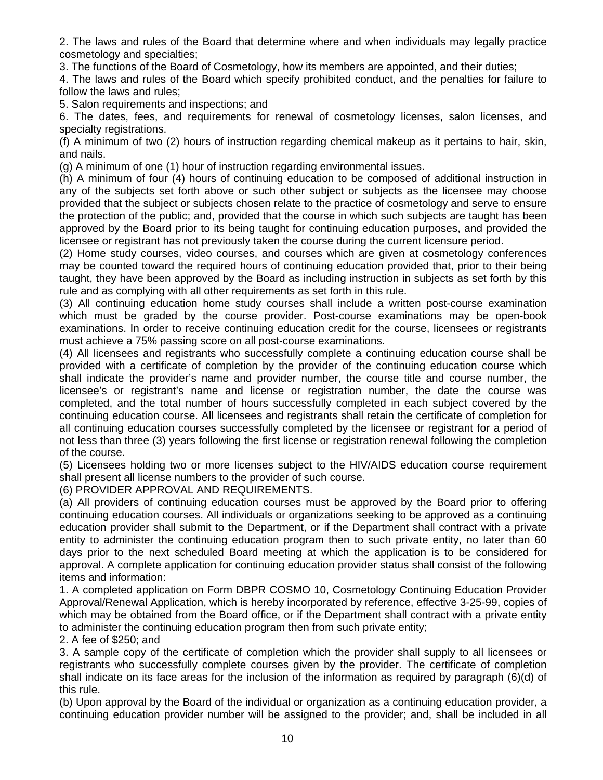2. The laws and rules of the Board that determine where and when individuals may legally practice cosmetology and specialties;

3. The functions of the Board of Cosmetology, how its members are appointed, and their duties;

4. The laws and rules of the Board which specify prohibited conduct, and the penalties for failure to follow the laws and rules;

5. Salon requirements and inspections; and

6. The dates, fees, and requirements for renewal of cosmetology licenses, salon licenses, and specialty registrations.

(f) A minimum of two (2) hours of instruction regarding chemical makeup as it pertains to hair, skin, and nails.

(g) A minimum of one (1) hour of instruction regarding environmental issues.

(h) A minimum of four (4) hours of continuing education to be composed of additional instruction in any of the subjects set forth above or such other subject or subjects as the licensee may choose provided that the subject or subjects chosen relate to the practice of cosmetology and serve to ensure the protection of the public; and, provided that the course in which such subjects are taught has been approved by the Board prior to its being taught for continuing education purposes, and provided the licensee or registrant has not previously taken the course during the current licensure period.

(2) Home study courses, video courses, and courses which are given at cosmetology conferences may be counted toward the required hours of continuing education provided that, prior to their being taught, they have been approved by the Board as including instruction in subjects as set forth by this rule and as complying with all other requirements as set forth in this rule.

(3) All continuing education home study courses shall include a written post-course examination which must be graded by the course provider. Post-course examinations may be open-book examinations. In order to receive continuing education credit for the course, licensees or registrants must achieve a 75% passing score on all post-course examinations.

(4) All licensees and registrants who successfully complete a continuing education course shall be provided with a certificate of completion by the provider of the continuing education course which shall indicate the provider's name and provider number, the course title and course number, the licensee's or registrant's name and license or registration number, the date the course was completed, and the total number of hours successfully completed in each subject covered by the continuing education course. All licensees and registrants shall retain the certificate of completion for all continuing education courses successfully completed by the licensee or registrant for a period of not less than three (3) years following the first license or registration renewal following the completion of the course.

(5) Licensees holding two or more licenses subject to the HIV/AIDS education course requirement shall present all license numbers to the provider of such course.

(6) PROVIDER APPROVAL AND REQUIREMENTS.

(a) All providers of continuing education courses must be approved by the Board prior to offering continuing education courses. All individuals or organizations seeking to be approved as a continuing education provider shall submit to the Department, or if the Department shall contract with a private entity to administer the continuing education program then to such private entity, no later than 60 days prior to the next scheduled Board meeting at which the application is to be considered for approval. A complete application for continuing education provider status shall consist of the following items and information:

1. A completed application on Form DBPR COSMO 10, Cosmetology Continuing Education Provider Approval/Renewal Application, which is hereby incorporated by reference, effective 3-25-99, copies of which may be obtained from the Board office, or if the Department shall contract with a private entity to administer the continuing education program then from such private entity;

2. A fee of \$250; and

3. A sample copy of the certificate of completion which the provider shall supply to all licensees or registrants who successfully complete courses given by the provider. The certificate of completion shall indicate on its face areas for the inclusion of the information as required by paragraph (6)(d) of this rule.

(b) Upon approval by the Board of the individual or organization as a continuing education provider, a continuing education provider number will be assigned to the provider; and, shall be included in all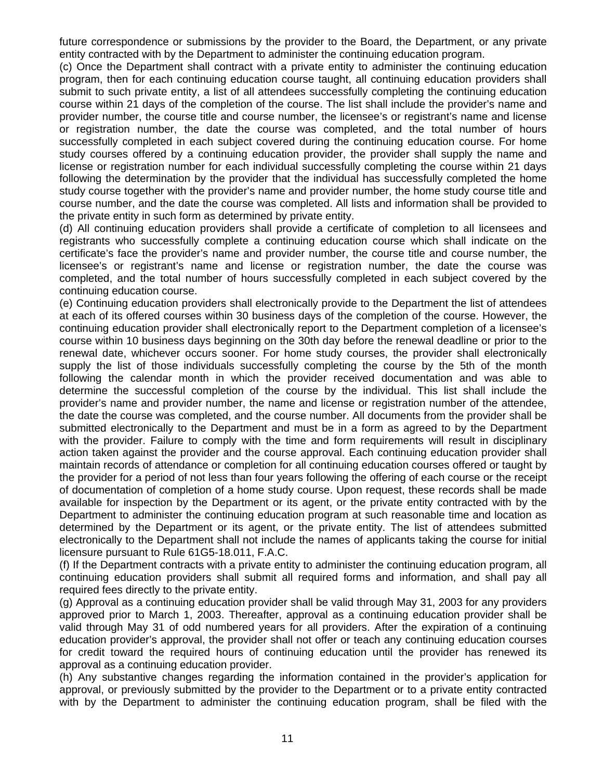future correspondence or submissions by the provider to the Board, the Department, or any private entity contracted with by the Department to administer the continuing education program.

(c) Once the Department shall contract with a private entity to administer the continuing education program, then for each continuing education course taught, all continuing education providers shall submit to such private entity, a list of all attendees successfully completing the continuing education course within 21 days of the completion of the course. The list shall include the provider's name and provider number, the course title and course number, the licensee's or registrant's name and license or registration number, the date the course was completed, and the total number of hours successfully completed in each subject covered during the continuing education course. For home study courses offered by a continuing education provider, the provider shall supply the name and license or registration number for each individual successfully completing the course within 21 days following the determination by the provider that the individual has successfully completed the home study course together with the provider's name and provider number, the home study course title and course number, and the date the course was completed. All lists and information shall be provided to the private entity in such form as determined by private entity.

(d) All continuing education providers shall provide a certificate of completion to all licensees and registrants who successfully complete a continuing education course which shall indicate on the certificate's face the provider's name and provider number, the course title and course number, the licensee's or registrant's name and license or registration number, the date the course was completed, and the total number of hours successfully completed in each subject covered by the continuing education course.

(e) Continuing education providers shall electronically provide to the Department the list of attendees at each of its offered courses within 30 business days of the completion of the course. However, the continuing education provider shall electronically report to the Department completion of a licensee's course within 10 business days beginning on the 30th day before the renewal deadline or prior to the renewal date, whichever occurs sooner. For home study courses, the provider shall electronically supply the list of those individuals successfully completing the course by the 5th of the month following the calendar month in which the provider received documentation and was able to determine the successful completion of the course by the individual. This list shall include the provider's name and provider number, the name and license or registration number of the attendee, the date the course was completed, and the course number. All documents from the provider shall be submitted electronically to the Department and must be in a form as agreed to by the Department with the provider. Failure to comply with the time and form requirements will result in disciplinary action taken against the provider and the course approval. Each continuing education provider shall maintain records of attendance or completion for all continuing education courses offered or taught by the provider for a period of not less than four years following the offering of each course or the receipt of documentation of completion of a home study course. Upon request, these records shall be made available for inspection by the Department or its agent, or the private entity contracted with by the Department to administer the continuing education program at such reasonable time and location as determined by the Department or its agent, or the private entity. The list of attendees submitted electronically to the Department shall not include the names of applicants taking the course for initial licensure pursuant to Rule 61G5-18.011, F.A.C.

(f) If the Department contracts with a private entity to administer the continuing education program, all continuing education providers shall submit all required forms and information, and shall pay all required fees directly to the private entity.

(g) Approval as a continuing education provider shall be valid through May 31, 2003 for any providers approved prior to March 1, 2003. Thereafter, approval as a continuing education provider shall be valid through May 31 of odd numbered years for all providers. After the expiration of a continuing education provider's approval, the provider shall not offer or teach any continuing education courses for credit toward the required hours of continuing education until the provider has renewed its approval as a continuing education provider.

(h) Any substantive changes regarding the information contained in the provider's application for approval, or previously submitted by the provider to the Department or to a private entity contracted with by the Department to administer the continuing education program, shall be filed with the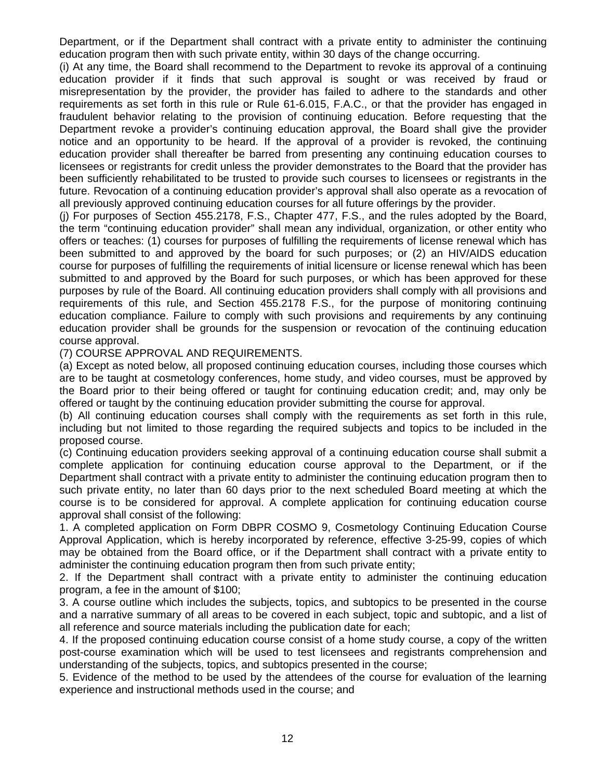Department, or if the Department shall contract with a private entity to administer the continuing education program then with such private entity, within 30 days of the change occurring.

(i) At any time, the Board shall recommend to the Department to revoke its approval of a continuing education provider if it finds that such approval is sought or was received by fraud or misrepresentation by the provider, the provider has failed to adhere to the standards and other requirements as set forth in this rule or Rule 61-6.015, F.A.C., or that the provider has engaged in fraudulent behavior relating to the provision of continuing education. Before requesting that the Department revoke a provider's continuing education approval, the Board shall give the provider notice and an opportunity to be heard. If the approval of a provider is revoked, the continuing education provider shall thereafter be barred from presenting any continuing education courses to licensees or registrants for credit unless the provider demonstrates to the Board that the provider has been sufficiently rehabilitated to be trusted to provide such courses to licensees or registrants in the future. Revocation of a continuing education provider's approval shall also operate as a revocation of all previously approved continuing education courses for all future offerings by the provider.

(j) For purposes of Section 455.2178, F.S., Chapter 477, F.S., and the rules adopted by the Board, the term "continuing education provider" shall mean any individual, organization, or other entity who offers or teaches: (1) courses for purposes of fulfilling the requirements of license renewal which has been submitted to and approved by the board for such purposes; or (2) an HIV/AIDS education course for purposes of fulfilling the requirements of initial licensure or license renewal which has been submitted to and approved by the Board for such purposes, or which has been approved for these purposes by rule of the Board. All continuing education providers shall comply with all provisions and requirements of this rule, and Section 455.2178 F.S., for the purpose of monitoring continuing education compliance. Failure to comply with such provisions and requirements by any continuing education provider shall be grounds for the suspension or revocation of the continuing education course approval.

(7) COURSE APPROVAL AND REQUIREMENTS.

(a) Except as noted below, all proposed continuing education courses, including those courses which are to be taught at cosmetology conferences, home study, and video courses, must be approved by the Board prior to their being offered or taught for continuing education credit; and, may only be offered or taught by the continuing education provider submitting the course for approval.

(b) All continuing education courses shall comply with the requirements as set forth in this rule, including but not limited to those regarding the required subjects and topics to be included in the proposed course.

(c) Continuing education providers seeking approval of a continuing education course shall submit a complete application for continuing education course approval to the Department, or if the Department shall contract with a private entity to administer the continuing education program then to such private entity, no later than 60 days prior to the next scheduled Board meeting at which the course is to be considered for approval. A complete application for continuing education course approval shall consist of the following:

1. A completed application on Form DBPR COSMO 9, Cosmetology Continuing Education Course Approval Application, which is hereby incorporated by reference, effective 3-25-99, copies of which may be obtained from the Board office, or if the Department shall contract with a private entity to administer the continuing education program then from such private entity;

2. If the Department shall contract with a private entity to administer the continuing education program, a fee in the amount of \$100;

3. A course outline which includes the subjects, topics, and subtopics to be presented in the course and a narrative summary of all areas to be covered in each subject, topic and subtopic, and a list of all reference and source materials including the publication date for each;

4. If the proposed continuing education course consist of a home study course, a copy of the written post-course examination which will be used to test licensees and registrants comprehension and understanding of the subjects, topics, and subtopics presented in the course;

5. Evidence of the method to be used by the attendees of the course for evaluation of the learning experience and instructional methods used in the course; and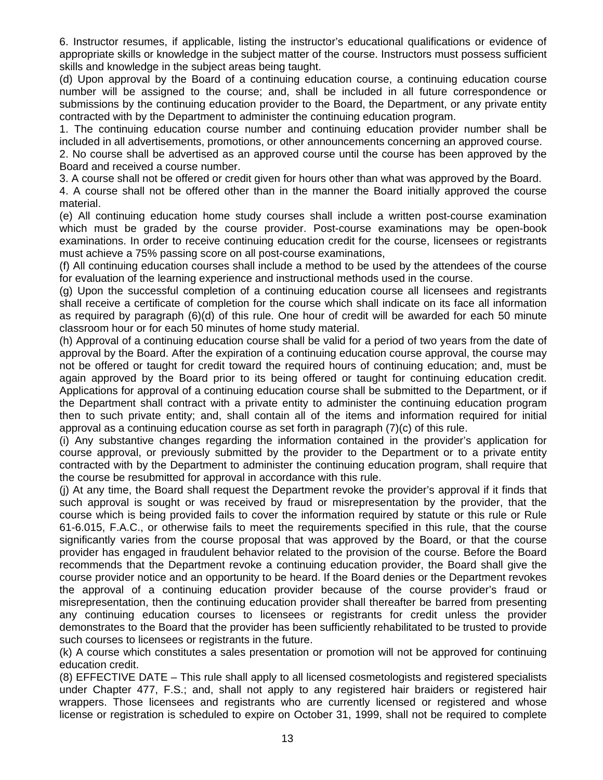6. Instructor resumes, if applicable, listing the instructor's educational qualifications or evidence of appropriate skills or knowledge in the subject matter of the course. Instructors must possess sufficient skills and knowledge in the subject areas being taught.

(d) Upon approval by the Board of a continuing education course, a continuing education course number will be assigned to the course; and, shall be included in all future correspondence or submissions by the continuing education provider to the Board, the Department, or any private entity contracted with by the Department to administer the continuing education program.

1. The continuing education course number and continuing education provider number shall be included in all advertisements, promotions, or other announcements concerning an approved course.

2. No course shall be advertised as an approved course until the course has been approved by the Board and received a course number.

3. A course shall not be offered or credit given for hours other than what was approved by the Board.

4. A course shall not be offered other than in the manner the Board initially approved the course material.

(e) All continuing education home study courses shall include a written post-course examination which must be graded by the course provider. Post-course examinations may be open-book examinations. In order to receive continuing education credit for the course, licensees or registrants must achieve a 75% passing score on all post-course examinations,

(f) All continuing education courses shall include a method to be used by the attendees of the course for evaluation of the learning experience and instructional methods used in the course.

(g) Upon the successful completion of a continuing education course all licensees and registrants shall receive a certificate of completion for the course which shall indicate on its face all information as required by paragraph (6)(d) of this rule. One hour of credit will be awarded for each 50 minute classroom hour or for each 50 minutes of home study material.

(h) Approval of a continuing education course shall be valid for a period of two years from the date of approval by the Board. After the expiration of a continuing education course approval, the course may not be offered or taught for credit toward the required hours of continuing education; and, must be again approved by the Board prior to its being offered or taught for continuing education credit. Applications for approval of a continuing education course shall be submitted to the Department, or if the Department shall contract with a private entity to administer the continuing education program then to such private entity; and, shall contain all of the items and information required for initial approval as a continuing education course as set forth in paragraph (7)(c) of this rule.

(i) Any substantive changes regarding the information contained in the provider's application for course approval, or previously submitted by the provider to the Department or to a private entity contracted with by the Department to administer the continuing education program, shall require that the course be resubmitted for approval in accordance with this rule.

(j) At any time, the Board shall request the Department revoke the provider's approval if it finds that such approval is sought or was received by fraud or misrepresentation by the provider, that the course which is being provided fails to cover the information required by statute or this rule or Rule 61-6.015, F.A.C., or otherwise fails to meet the requirements specified in this rule, that the course significantly varies from the course proposal that was approved by the Board, or that the course provider has engaged in fraudulent behavior related to the provision of the course. Before the Board recommends that the Department revoke a continuing education provider, the Board shall give the course provider notice and an opportunity to be heard. If the Board denies or the Department revokes the approval of a continuing education provider because of the course provider's fraud or misrepresentation, then the continuing education provider shall thereafter be barred from presenting any continuing education courses to licensees or registrants for credit unless the provider demonstrates to the Board that the provider has been sufficiently rehabilitated to be trusted to provide such courses to licensees or registrants in the future.

(k) A course which constitutes a sales presentation or promotion will not be approved for continuing education credit.

(8) EFFECTIVE DATE – This rule shall apply to all licensed cosmetologists and registered specialists under Chapter 477, F.S.; and, shall not apply to any registered hair braiders or registered hair wrappers. Those licensees and registrants who are currently licensed or registered and whose license or registration is scheduled to expire on October 31, 1999, shall not be required to complete